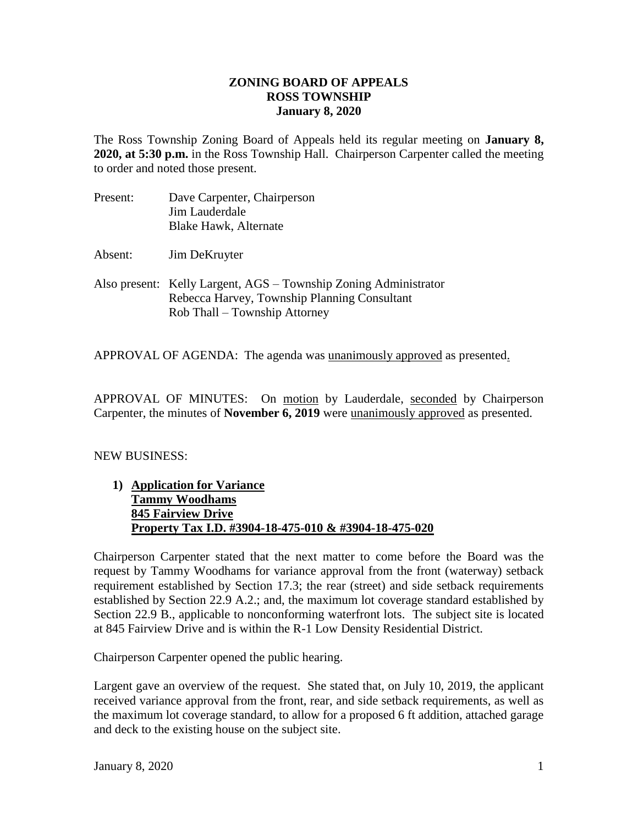## **ZONING BOARD OF APPEALS ROSS TOWNSHIP January 8, 2020**

The Ross Township Zoning Board of Appeals held its regular meeting on **January 8, 2020, at 5:30 p.m.** in the Ross Township Hall. Chairperson Carpenter called the meeting to order and noted those present.

- Present: Dave Carpenter, Chairperson Jim Lauderdale Blake Hawk, Alternate
- Absent: Jim DeKruyter
- Also present: Kelly Largent, AGS Township Zoning Administrator Rebecca Harvey, Township Planning Consultant Rob Thall – Township Attorney

APPROVAL OF AGENDA: The agenda was unanimously approved as presented.

APPROVAL OF MINUTES: On motion by Lauderdale, seconded by Chairperson Carpenter, the minutes of **November 6, 2019** were unanimously approved as presented.

## NEW BUSINESS:

**1) Application for Variance Tammy Woodhams 845 Fairview Drive Property Tax I.D. #3904-18-475-010 & #3904-18-475-020**

Chairperson Carpenter stated that the next matter to come before the Board was the request by Tammy Woodhams for variance approval from the front (waterway) setback requirement established by Section 17.3; the rear (street) and side setback requirements established by Section 22.9 A.2.; and, the maximum lot coverage standard established by Section 22.9 B., applicable to nonconforming waterfront lots. The subject site is located at 845 Fairview Drive and is within the R-1 Low Density Residential District.

Chairperson Carpenter opened the public hearing.

Largent gave an overview of the request. She stated that, on July 10, 2019, the applicant received variance approval from the front, rear, and side setback requirements, as well as the maximum lot coverage standard, to allow for a proposed 6 ft addition, attached garage and deck to the existing house on the subject site.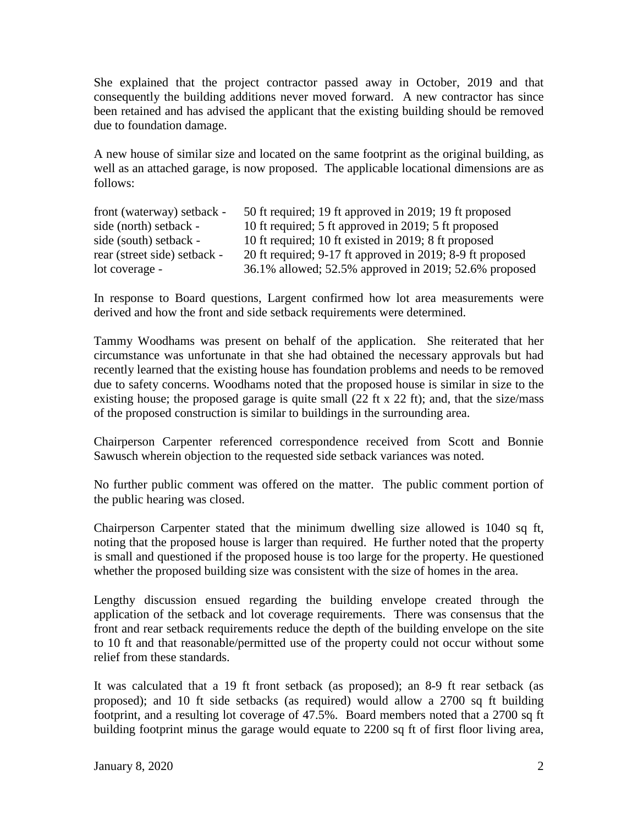She explained that the project contractor passed away in October, 2019 and that consequently the building additions never moved forward. A new contractor has since been retained and has advised the applicant that the existing building should be removed due to foundation damage.

A new house of similar size and located on the same footprint as the original building, as well as an attached garage, is now proposed. The applicable locational dimensions are as follows:

| front (waterway) setback -   | 50 ft required; 19 ft approved in 2019; 19 ft proposed    |
|------------------------------|-----------------------------------------------------------|
| side (north) setback -       | 10 ft required; 5 ft approved in 2019; 5 ft proposed      |
| side (south) setback -       | 10 ft required; 10 ft existed in 2019; 8 ft proposed      |
| rear (street side) setback - | 20 ft required; 9-17 ft approved in 2019; 8-9 ft proposed |
| lot coverage -               | 36.1% allowed; 52.5% approved in 2019; 52.6% proposed     |

In response to Board questions, Largent confirmed how lot area measurements were derived and how the front and side setback requirements were determined.

Tammy Woodhams was present on behalf of the application. She reiterated that her circumstance was unfortunate in that she had obtained the necessary approvals but had recently learned that the existing house has foundation problems and needs to be removed due to safety concerns. Woodhams noted that the proposed house is similar in size to the existing house; the proposed garage is quite small (22 ft x 22 ft); and, that the size/mass of the proposed construction is similar to buildings in the surrounding area.

Chairperson Carpenter referenced correspondence received from Scott and Bonnie Sawusch wherein objection to the requested side setback variances was noted.

No further public comment was offered on the matter. The public comment portion of the public hearing was closed.

Chairperson Carpenter stated that the minimum dwelling size allowed is 1040 sq ft, noting that the proposed house is larger than required. He further noted that the property is small and questioned if the proposed house is too large for the property. He questioned whether the proposed building size was consistent with the size of homes in the area.

Lengthy discussion ensued regarding the building envelope created through the application of the setback and lot coverage requirements. There was consensus that the front and rear setback requirements reduce the depth of the building envelope on the site to 10 ft and that reasonable/permitted use of the property could not occur without some relief from these standards.

It was calculated that a 19 ft front setback (as proposed); an 8-9 ft rear setback (as proposed); and 10 ft side setbacks (as required) would allow a 2700 sq ft building footprint, and a resulting lot coverage of 47.5%. Board members noted that a 2700 sq ft building footprint minus the garage would equate to 2200 sq ft of first floor living area,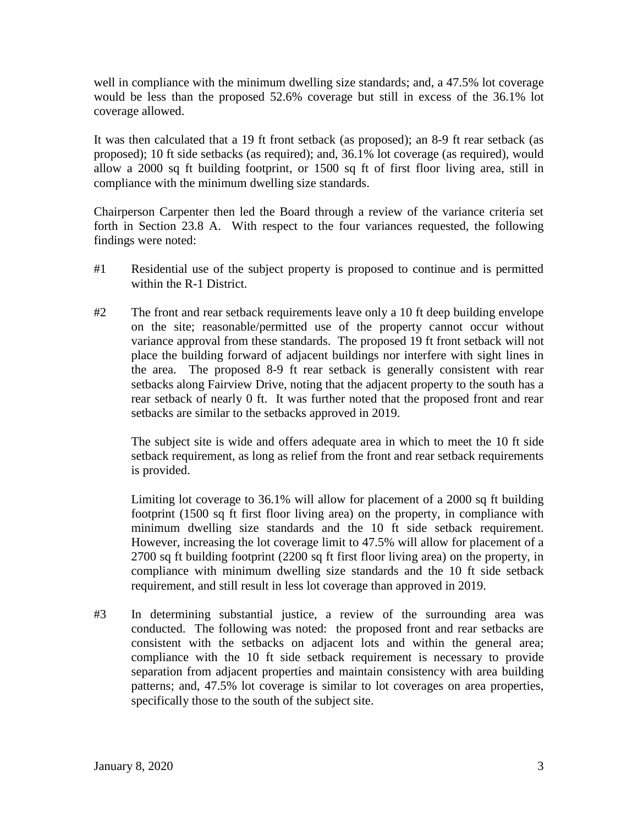well in compliance with the minimum dwelling size standards; and, a 47.5% lot coverage would be less than the proposed 52.6% coverage but still in excess of the 36.1% lot coverage allowed.

It was then calculated that a 19 ft front setback (as proposed); an 8-9 ft rear setback (as proposed); 10 ft side setbacks (as required); and, 36.1% lot coverage (as required), would allow a 2000 sq ft building footprint, or 1500 sq ft of first floor living area, still in compliance with the minimum dwelling size standards.

Chairperson Carpenter then led the Board through a review of the variance criteria set forth in Section 23.8 A. With respect to the four variances requested, the following findings were noted:

- #1 Residential use of the subject property is proposed to continue and is permitted within the R-1 District.
- #2 The front and rear setback requirements leave only a 10 ft deep building envelope on the site; reasonable/permitted use of the property cannot occur without variance approval from these standards. The proposed 19 ft front setback will not place the building forward of adjacent buildings nor interfere with sight lines in the area. The proposed 8-9 ft rear setback is generally consistent with rear setbacks along Fairview Drive, noting that the adjacent property to the south has a rear setback of nearly 0 ft. It was further noted that the proposed front and rear setbacks are similar to the setbacks approved in 2019.

The subject site is wide and offers adequate area in which to meet the 10 ft side setback requirement, as long as relief from the front and rear setback requirements is provided.

Limiting lot coverage to 36.1% will allow for placement of a 2000 sq ft building footprint (1500 sq ft first floor living area) on the property, in compliance with minimum dwelling size standards and the 10 ft side setback requirement. However, increasing the lot coverage limit to 47.5% will allow for placement of a 2700 sq ft building footprint (2200 sq ft first floor living area) on the property, in compliance with minimum dwelling size standards and the 10 ft side setback requirement, and still result in less lot coverage than approved in 2019.

#3 In determining substantial justice, a review of the surrounding area was conducted. The following was noted: the proposed front and rear setbacks are consistent with the setbacks on adjacent lots and within the general area; compliance with the 10 ft side setback requirement is necessary to provide separation from adjacent properties and maintain consistency with area building patterns; and, 47.5% lot coverage is similar to lot coverages on area properties, specifically those to the south of the subject site.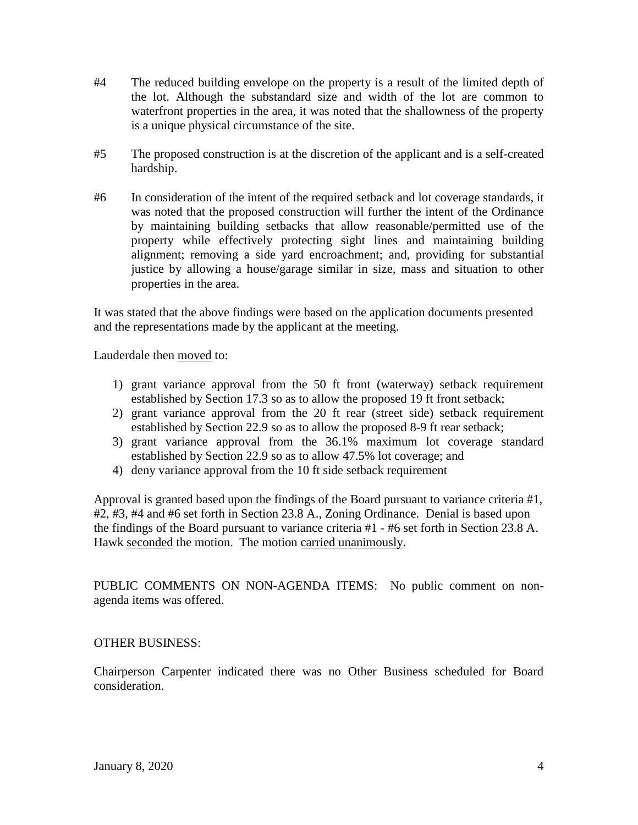- #4 The reduced building envelope on the property is a result of the limited depth of the lot. Although the substandard size and width of the lot are common to waterfront properties in the area, it was noted that the shallowness of the property is a unique physical circumstance of the site.
- #5 The proposed construction is at the discretion of the applicant and is a self-created hardship.
- #6 In consideration of the intent of the required setback and lot coverage standards, it was noted that the proposed construction will further the intent of the Ordinance by maintaining building setbacks that allow reasonable/permitted use of the property while effectively protecting sight lines and maintaining building alignment; removing a side yard encroachment; and, providing for substantial justice by allowing a house/garage similar in size, mass and situation to other properties in the area.

It was stated that the above findings were based on the application documents presented and the representations made by the applicant at the meeting.

Lauderdale then moved to:

- 1) grant variance approval from the 50 ft front (waterway) setback requirement established by Section 17.3 so as to allow the proposed 19 ft front setback;
- 2) grant variance approval from the 20 ft rear (street side) setback requirement established by Section 22.9 so as to allow the proposed 8-9 ft rear setback;
- 3) grant variance approval from the 36.1% maximum lot coverage standard established by Section 22.9 so as to allow 47.5% lot coverage; and
- 4) deny variance approval from the 10 ft side setback requirement

Approval is granted based upon the findings of the Board pursuant to variance criteria #1, #2, #3, #4 and #6 set forth in Section 23.8 A., Zoning Ordinance. Denial is based upon the findings of the Board pursuant to variance criteria #1 - #6 set forth in Section 23.8 A. Hawk seconded the motion. The motion carried unanimously.

PUBLIC COMMENTS ON NON-AGENDA ITEMS: No public comment on nonagenda items was offered.

## OTHER BUSINESS:

Chairperson Carpenter indicated there was no Other Business scheduled for Board consideration.